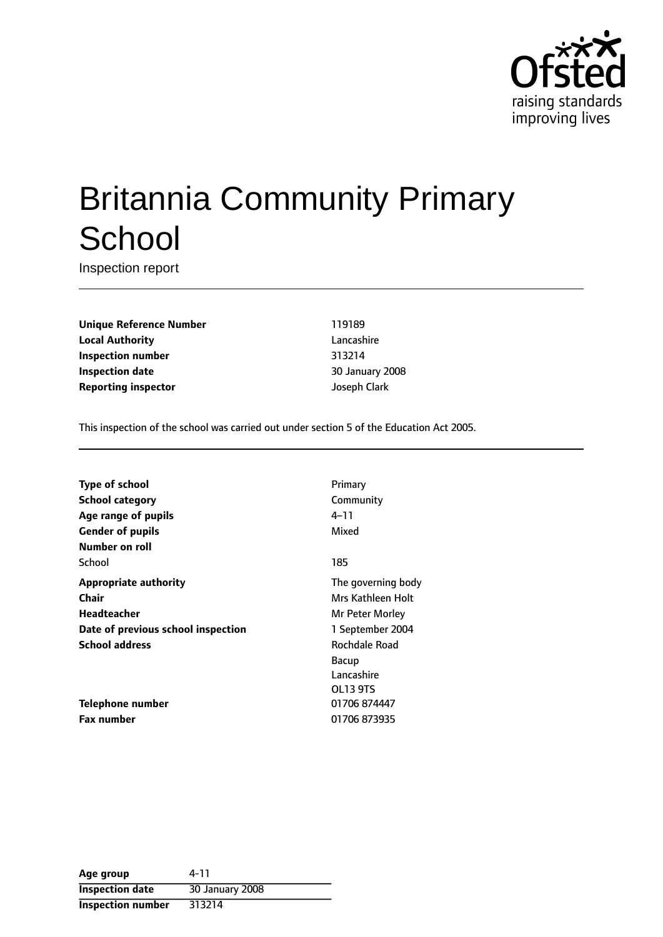

# Britannia Community Primary **School**

Inspection report

**Unique Reference Number** 119189 **Local Authority** Lancashire **Inspection number** 313214 **Inspection date** 30 January 2008 **Reporting inspector discriming** Joseph Clark

This inspection of the school was carried out under section 5 of the Education Act 2005.

| Type of school                     | Primary            |
|------------------------------------|--------------------|
| <b>School category</b>             | Community          |
| Age range of pupils                | 4–11               |
| <b>Gender of pupils</b>            | Mixed              |
| Number on roll                     |                    |
| School                             | 185                |
| <b>Appropriate authority</b>       | The governing body |
| Chair                              | Mrs Kathleen Holt  |
| <b>Headteacher</b>                 | Mr Peter Morley    |
| Date of previous school inspection | 1 September 2004   |
| <b>School address</b>              | Rochdale Road      |
|                                    | Bacup              |
|                                    | Lancashire         |
|                                    | OL13 9TS           |
| Telephone number                   | 01706 874447       |
| <b>Fax number</b>                  | 01706 873935       |

| Age group                | 4-11            |
|--------------------------|-----------------|
| <b>Inspection date</b>   | 30 January 2008 |
| <b>Inspection number</b> | 313214          |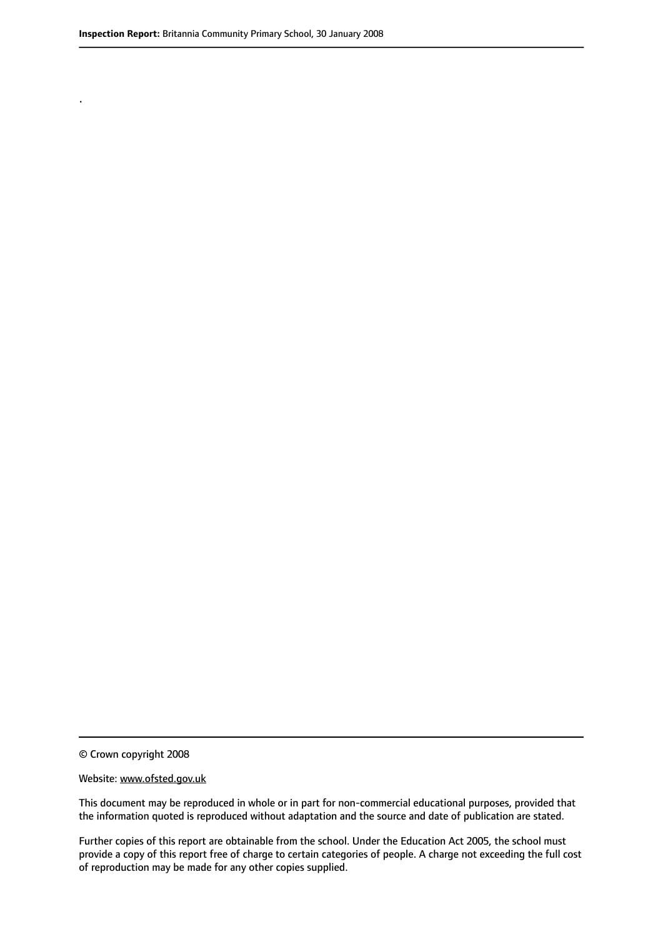.

© Crown copyright 2008

#### Website: www.ofsted.gov.uk

This document may be reproduced in whole or in part for non-commercial educational purposes, provided that the information quoted is reproduced without adaptation and the source and date of publication are stated.

Further copies of this report are obtainable from the school. Under the Education Act 2005, the school must provide a copy of this report free of charge to certain categories of people. A charge not exceeding the full cost of reproduction may be made for any other copies supplied.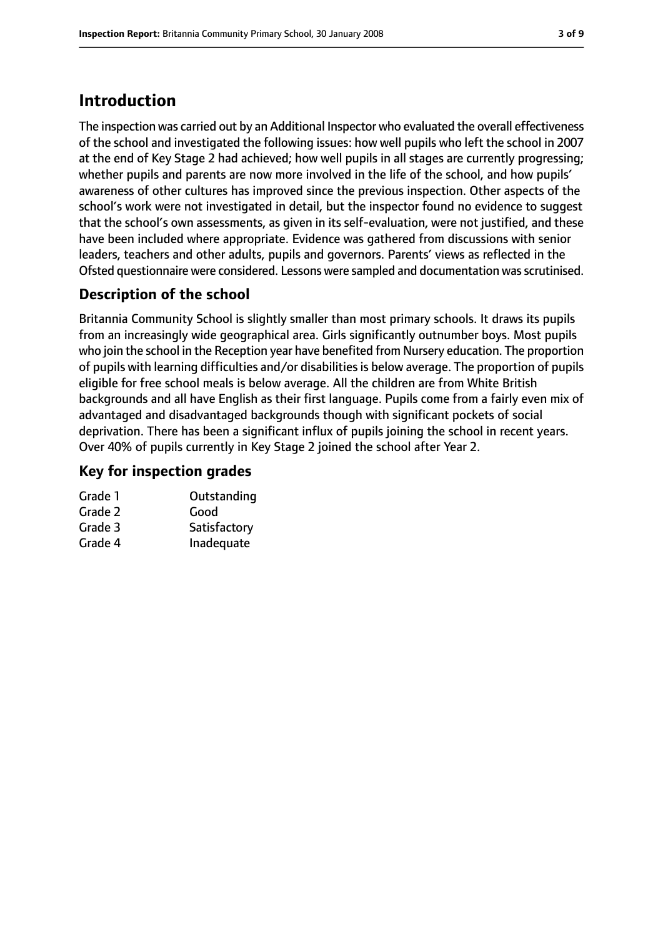# **Introduction**

The inspection was carried out by an Additional Inspector who evaluated the overall effectiveness of the school and investigated the following issues: how well pupils who left the school in 2007 at the end of Key Stage 2 had achieved; how well pupils in all stages are currently progressing; whether pupils and parents are now more involved in the life of the school, and how pupils' awareness of other cultures has improved since the previous inspection. Other aspects of the school's work were not investigated in detail, but the inspector found no evidence to suggest that the school's own assessments, as given in its self-evaluation, were not justified, and these have been included where appropriate. Evidence was gathered from discussions with senior leaders, teachers and other adults, pupils and governors. Parents' views as reflected in the Ofsted questionnaire were considered. Lessons were sampled and documentation wasscrutinised.

#### **Description of the school**

Britannia Community School is slightly smaller than most primary schools. It draws its pupils from an increasingly wide geographical area. Girls significantly outnumber boys. Most pupils who join the school in the Reception year have benefited from Nursery education. The proportion of pupils with learning difficulties and/or disabilities is below average. The proportion of pupils eligible for free school meals is below average. All the children are from White British backgrounds and all have English as their first language. Pupils come from a fairly even mix of advantaged and disadvantaged backgrounds though with significant pockets of social deprivation. There has been a significant influx of pupils joining the school in recent years. Over 40% of pupils currently in Key Stage 2 joined the school after Year 2.

#### **Key for inspection grades**

| Grade 1 | Outstanding  |
|---------|--------------|
| Grade 2 | Good         |
| Grade 3 | Satisfactory |
| Grade 4 | Inadequate   |
|         |              |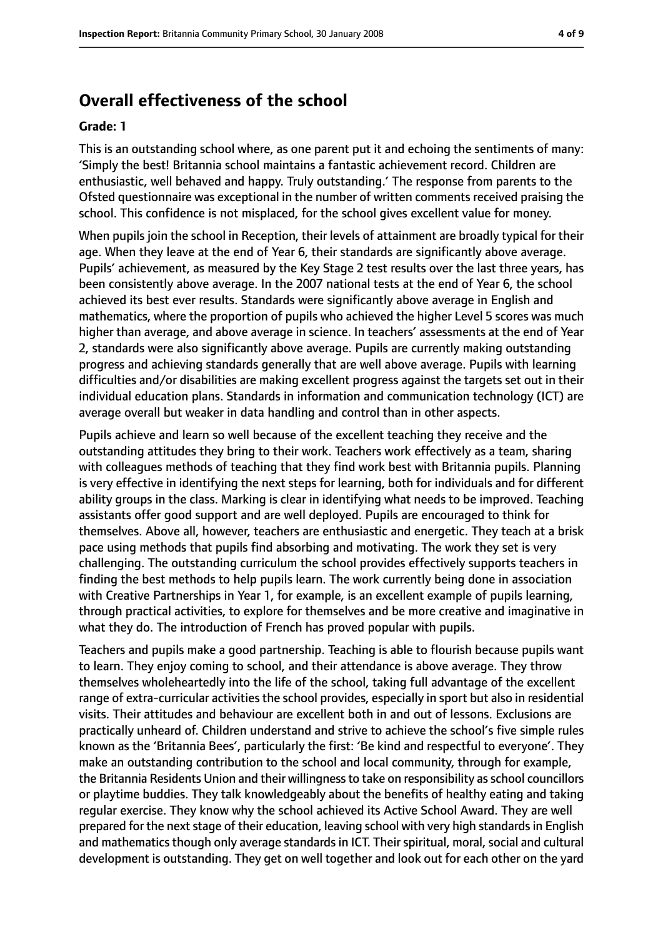### **Overall effectiveness of the school**

#### **Grade: 1**

This is an outstanding school where, as one parent put it and echoing the sentiments of many: 'Simply the best! Britannia school maintains a fantastic achievement record. Children are enthusiastic, well behaved and happy. Truly outstanding.' The response from parents to the Ofsted questionnaire was exceptional in the number of written comments received praising the school. This confidence is not misplaced, for the school gives excellent value for money.

When pupils join the school in Reception, their levels of attainment are broadly typical for their age. When they leave at the end of Year 6, their standards are significantly above average. Pupils' achievement, as measured by the Key Stage 2 test results over the last three years, has been consistently above average. In the 2007 national tests at the end of Year 6, the school achieved its best ever results. Standards were significantly above average in English and mathematics, where the proportion of pupils who achieved the higher Level 5 scores was much higher than average, and above average in science. In teachers' assessments at the end of Year 2, standards were also significantly above average. Pupils are currently making outstanding progress and achieving standards generally that are well above average. Pupils with learning difficulties and/or disabilities are making excellent progress against the targets set out in their individual education plans. Standards in information and communication technology (ICT) are average overall but weaker in data handling and control than in other aspects.

Pupils achieve and learn so well because of the excellent teaching they receive and the outstanding attitudes they bring to their work. Teachers work effectively as a team, sharing with colleagues methods of teaching that they find work best with Britannia pupils. Planning is very effective in identifying the next steps for learning, both for individuals and for different ability groups in the class. Marking is clear in identifying what needs to be improved. Teaching assistants offer good support and are well deployed. Pupils are encouraged to think for themselves. Above all, however, teachers are enthusiastic and energetic. They teach at a brisk pace using methods that pupils find absorbing and motivating. The work they set is very challenging. The outstanding curriculum the school provides effectively supports teachers in finding the best methods to help pupils learn. The work currently being done in association with Creative Partnerships in Year 1, for example, is an excellent example of pupils learning, through practical activities, to explore for themselves and be more creative and imaginative in what they do. The introduction of French has proved popular with pupils.

Teachers and pupils make a good partnership. Teaching is able to flourish because pupils want to learn. They enjoy coming to school, and their attendance is above average. They throw themselves wholeheartedly into the life of the school, taking full advantage of the excellent range of extra-curricular activities the school provides, especially in sport but also in residential visits. Their attitudes and behaviour are excellent both in and out of lessons. Exclusions are practically unheard of. Children understand and strive to achieve the school's five simple rules known as the 'Britannia Bees', particularly the first: 'Be kind and respectful to everyone'. They make an outstanding contribution to the school and local community, through for example, the Britannia Residents Union and their willingness to take on responsibility as school councillors or playtime buddies. They talk knowledgeably about the benefits of healthy eating and taking regular exercise. They know why the school achieved its Active School Award. They are well prepared for the next stage of their education, leaving school with very high standards in English and mathematics though only average standards in ICT. Their spiritual, moral, social and cultural development is outstanding. They get on well together and look out for each other on the yard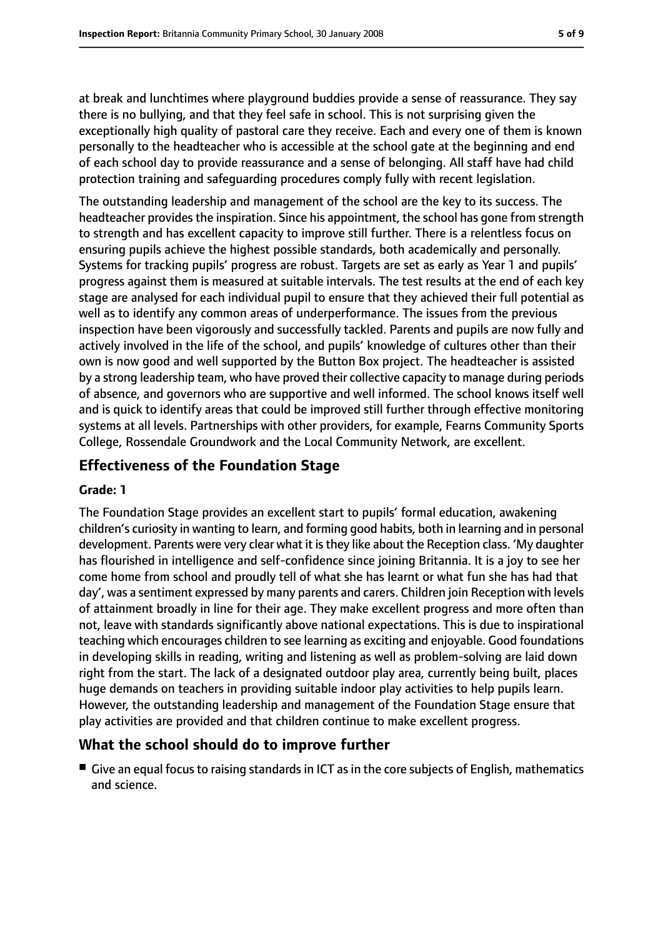at break and lunchtimes where playground buddies provide a sense of reassurance. They say there is no bullying, and that they feel safe in school. This is not surprising given the exceptionally high quality of pastoral care they receive. Each and every one of them is known personally to the headteacher who is accessible at the school gate at the beginning and end of each school day to provide reassurance and a sense of belonging. All staff have had child protection training and safeguarding procedures comply fully with recent legislation.

The outstanding leadership and management of the school are the key to its success. The headteacher provides the inspiration. Since his appointment, the school has gone from strength to strength and has excellent capacity to improve still further. There is a relentless focus on ensuring pupils achieve the highest possible standards, both academically and personally. Systems for tracking pupils' progress are robust. Targets are set as early as Year 1 and pupils' progress against them is measured at suitable intervals. The test results at the end of each key stage are analysed for each individual pupil to ensure that they achieved their full potential as well as to identify any common areas of underperformance. The issues from the previous inspection have been vigorously and successfully tackled. Parents and pupils are now fully and actively involved in the life of the school, and pupils' knowledge of cultures other than their own is now good and well supported by the Button Box project. The headteacher is assisted by a strong leadership team, who have proved their collective capacity to manage during periods of absence, and governors who are supportive and well informed. The school knows itself well and is quick to identify areas that could be improved still further through effective monitoring systems at all levels. Partnerships with other providers, for example, Fearns Community Sports College, Rossendale Groundwork and the Local Community Network, are excellent.

#### **Effectiveness of the Foundation Stage**

#### **Grade: 1**

The Foundation Stage provides an excellent start to pupils' formal education, awakening children's curiosity in wanting to learn, and forming good habits, both in learning and in personal development. Parents were very clear what it isthey like about the Reception class. 'My daughter has flourished in intelligence and self-confidence since joining Britannia. It is a joy to see her come home from school and proudly tell of what she has learnt or what fun she has had that day', was a sentiment expressed by many parents and carers. Children join Reception with levels of attainment broadly in line for their age. They make excellent progress and more often than not, leave with standards significantly above national expectations. This is due to inspirational teaching which encourages children to see learning as exciting and enjoyable. Good foundations in developing skills in reading, writing and listening as well as problem-solving are laid down right from the start. The lack of a designated outdoor play area, currently being built, places huge demands on teachers in providing suitable indoor play activities to help pupils learn. However, the outstanding leadership and management of the Foundation Stage ensure that play activities are provided and that children continue to make excellent progress.

#### **What the school should do to improve further**

■ Give an equal focus to raising standards in ICT as in the core subjects of English, mathematics and science.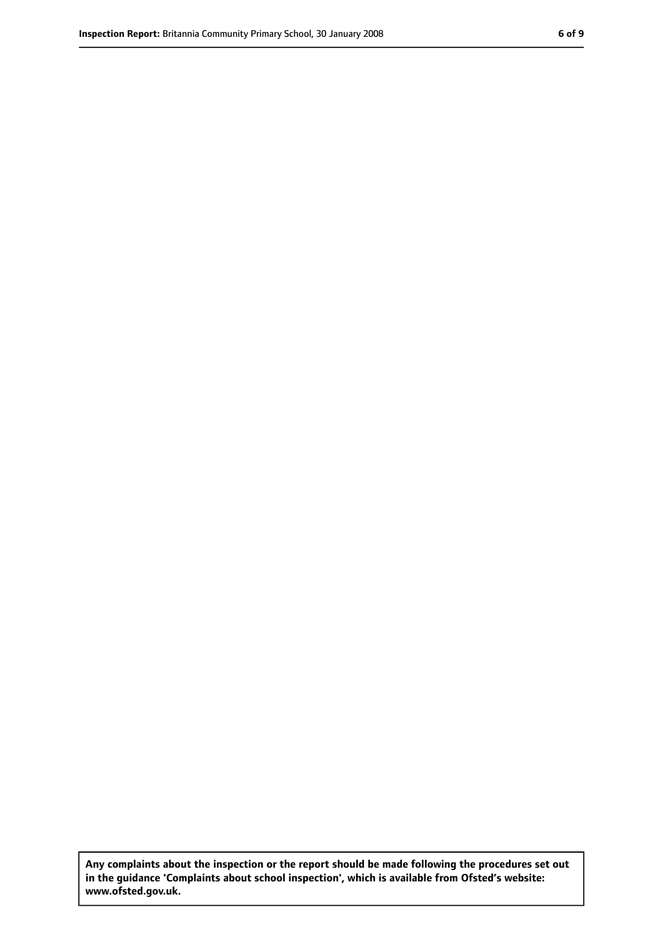**Any complaints about the inspection or the report should be made following the procedures set out in the guidance 'Complaints about school inspection', which is available from Ofsted's website: www.ofsted.gov.uk.**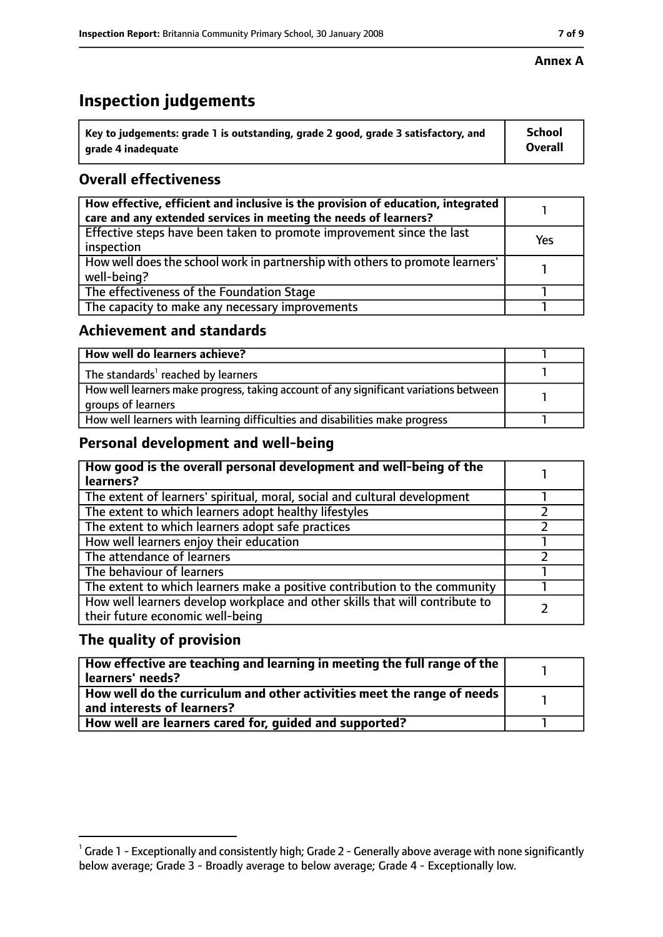## **Inspection judgements**

| $^{\backprime}$ Key to judgements: grade 1 is outstanding, grade 2 good, grade 3 satisfactory, and | <b>School</b>  |
|----------------------------------------------------------------------------------------------------|----------------|
| arade 4 inadequate                                                                                 | <b>Overall</b> |

#### **Overall effectiveness**

| How effective, efficient and inclusive is the provision of education, integrated<br>care and any extended services in meeting the needs of learners? |     |
|------------------------------------------------------------------------------------------------------------------------------------------------------|-----|
| Effective steps have been taken to promote improvement since the last<br>inspection                                                                  | Yes |
| How well does the school work in partnership with others to promote learners'<br>well-being?                                                         |     |
| The effectiveness of the Foundation Stage                                                                                                            |     |
| The capacity to make any necessary improvements                                                                                                      |     |

#### **Achievement and standards**

| How well do learners achieve?                                                                               |  |
|-------------------------------------------------------------------------------------------------------------|--|
| The standards <sup>1</sup> reached by learners                                                              |  |
| How well learners make progress, taking account of any significant variations between<br>groups of learners |  |
| How well learners with learning difficulties and disabilities make progress                                 |  |

#### **Personal development and well-being**

| How good is the overall personal development and well-being of the<br>learners?                                  |  |
|------------------------------------------------------------------------------------------------------------------|--|
| The extent of learners' spiritual, moral, social and cultural development                                        |  |
| The extent to which learners adopt healthy lifestyles                                                            |  |
| The extent to which learners adopt safe practices                                                                |  |
| How well learners enjoy their education                                                                          |  |
| The attendance of learners                                                                                       |  |
| The behaviour of learners                                                                                        |  |
| The extent to which learners make a positive contribution to the community                                       |  |
| How well learners develop workplace and other skills that will contribute to<br>their future economic well-being |  |

#### **The quality of provision**

| How effective are teaching and learning in meeting the full range of the<br>learners' needs?          |  |
|-------------------------------------------------------------------------------------------------------|--|
| How well do the curriculum and other activities meet the range of needs<br>and interests of learners? |  |
| How well are learners cared for, quided and supported?                                                |  |

 $^1$  Grade 1 - Exceptionally and consistently high; Grade 2 - Generally above average with none significantly below average; Grade 3 - Broadly average to below average; Grade 4 - Exceptionally low.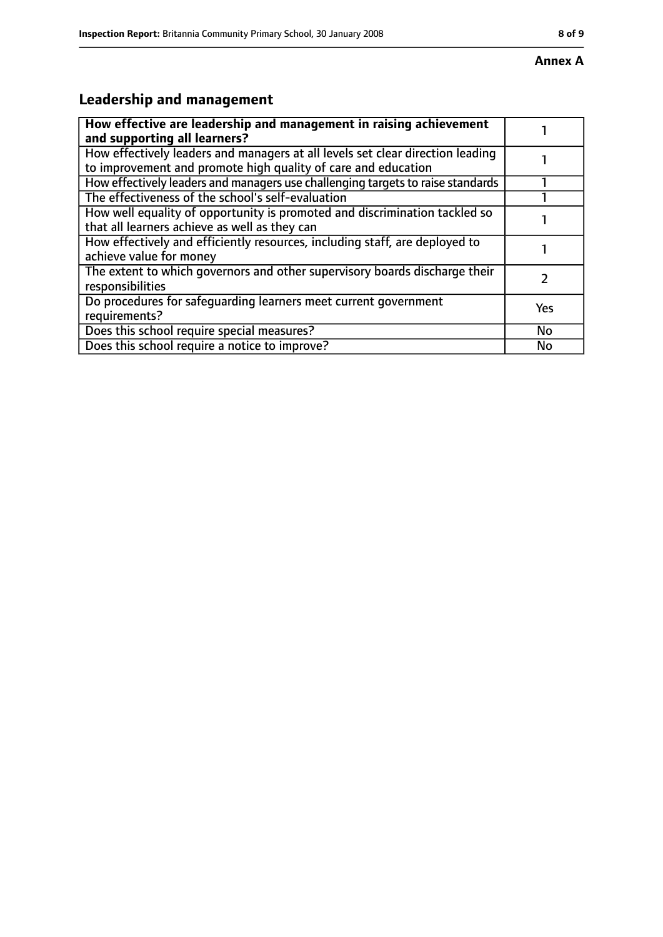# **Leadership and management**

| How effective are leadership and management in raising achievement<br>and supporting all learners?                                              |           |
|-------------------------------------------------------------------------------------------------------------------------------------------------|-----------|
| How effectively leaders and managers at all levels set clear direction leading<br>to improvement and promote high quality of care and education |           |
| How effectively leaders and managers use challenging targets to raise standards                                                                 |           |
| The effectiveness of the school's self-evaluation                                                                                               |           |
| How well equality of opportunity is promoted and discrimination tackled so<br>that all learners achieve as well as they can                     |           |
| How effectively and efficiently resources, including staff, are deployed to<br>achieve value for money                                          |           |
| The extent to which governors and other supervisory boards discharge their<br>responsibilities                                                  |           |
| Do procedures for safequarding learners meet current government<br>requirements?                                                                | Yes       |
| Does this school require special measures?                                                                                                      | <b>No</b> |
| Does this school require a notice to improve?                                                                                                   | No        |